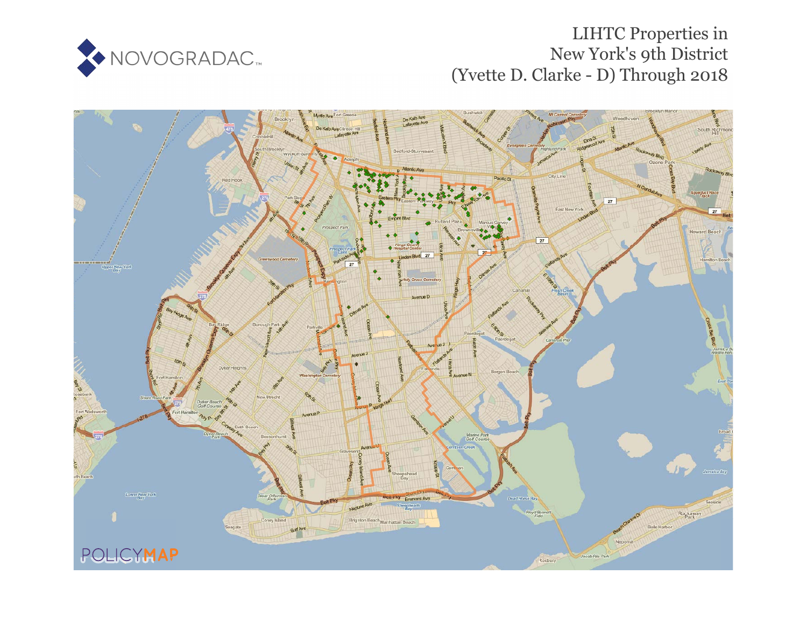

# LIHTC Properties in New York's 9th District (Yvette D. Clarke - D) Through 2018

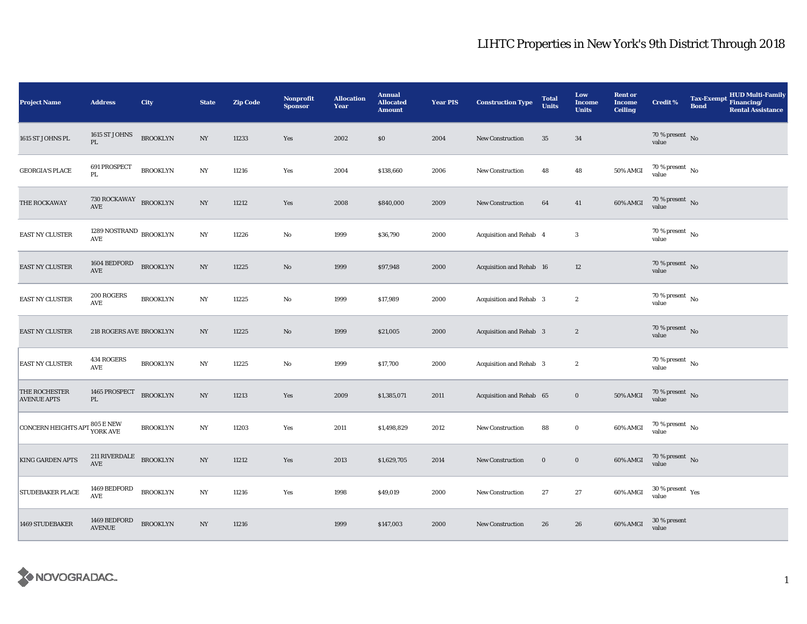| <b>Project Name</b>                              | <b>Address</b>                                                   | City            | <b>State</b>     | <b>Zip Code</b> | <b>Nonprofit</b><br><b>Sponsor</b> | <b>Allocation</b><br>Year | <b>Annual</b><br><b>Allocated</b><br><b>Amount</b> | <b>Year PIS</b> | <b>Construction Type</b> | <b>Total</b><br><b>Units</b> | Low<br><b>Income</b><br><b>Units</b> | <b>Rent or</b><br><b>Income</b><br><b>Ceiling</b> | <b>Credit %</b>                        | <b>HUD Multi-Family</b><br><b>Tax-Exempt</b><br>Financing/<br><b>Bond</b><br><b>Rental Assistance</b> |
|--------------------------------------------------|------------------------------------------------------------------|-----------------|------------------|-----------------|------------------------------------|---------------------------|----------------------------------------------------|-----------------|--------------------------|------------------------------|--------------------------------------|---------------------------------------------------|----------------------------------------|-------------------------------------------------------------------------------------------------------|
| 1615 ST JOHNS PL                                 | 1615 ST JOHNS<br>$\mathbf{PL}$                                   | <b>BROOKLYN</b> | NY               | 11233           | Yes                                | 2002                      | \$0                                                | 2004            | New Construction         | 35                           | 34                                   |                                                   | $70\,\%$ present $${\rm No}$$ value    |                                                                                                       |
| <b>GEORGIA'S PLACE</b>                           | 691 PROSPECT<br>PL                                               | <b>BROOKLYN</b> | N <sub>Y</sub>   | 11216           | Yes                                | 2004                      | \$138,660                                          | 2006            | New Construction         | 48                           | 48                                   | 50% AMGI                                          | $70\,\%$ present $\,$ No $\,$<br>value |                                                                                                       |
| THE ROCKAWAY                                     | $730$ ROCKAWAY BROOKLYN<br>AVE                                   |                 | $_{\mathrm{NY}}$ | 11212           | Yes                                | 2008                      | \$840,000                                          | 2009            | New Construction         | 64                           | 41                                   | 60% AMGI                                          | $70\,\%$ present $\,$ No value         |                                                                                                       |
| EAST NY CLUSTER                                  | 1289 NOSTRAND $_{\rm BROOKLYN}$<br>$\operatorname{\mathsf{AVE}}$ |                 | NY               | 11226           | No                                 | 1999                      | \$36,790                                           | 2000            | Acquisition and Rehab 4  |                              | $\mathbf{3}$                         |                                                   | 70 % present $\hbox{~No}$<br>value     |                                                                                                       |
| EAST NY CLUSTER                                  | 1604 BEDFORD<br>AVE                                              | <b>BROOKLYN</b> | $_{\mathrm{NY}}$ | 11225           | $\mathbf{N}\mathbf{o}$             | 1999                      | \$97,948                                           | 2000            | Acquisition and Rehab 16 |                              | 12                                   |                                                   | $70\,\%$ present $\,$ No value         |                                                                                                       |
| EAST NY CLUSTER                                  | 200 ROGERS<br>AVE                                                | <b>BROOKLYN</b> | NY               | 11225           | $\mathbf{No}$                      | 1999                      | \$17,989                                           | 2000            | Acquisition and Rehab 3  |                              | $\boldsymbol{2}$                     |                                                   | 70 % present $\hbox{~No}$<br>value     |                                                                                                       |
| <b>EAST NY CLUSTER</b>                           | 218 ROGERS AVE BROOKLYN                                          |                 | $_{\mathrm{NY}}$ | 11225           | $\mathbf{N}\mathbf{o}$             | 1999                      | \$21,005                                           | 2000            | Acquisition and Rehab 3  |                              | $\boldsymbol{2}$                     |                                                   | $70\,\%$ present $\,$ No value         |                                                                                                       |
| EAST NY CLUSTER                                  | 434 ROGERS<br>AVE                                                | <b>BROOKLYN</b> | $_{\mathrm{NY}}$ | 11225           | No                                 | 1999                      | \$17,700                                           | 2000            | Acquisition and Rehab 3  |                              | $\boldsymbol{2}$                     |                                                   | $70\,\%$ present $\,$ No value         |                                                                                                       |
| THE ROCHESTER<br><b>AVENUE APTS</b>              | 1465 PROSPECT<br>PL                                              | <b>BROOKLYN</b> | $_{\mathrm{NY}}$ | 11213           | Yes                                | 2009                      | \$1,385,071                                        | 2011            | Acquisition and Rehab 65 |                              | $\bf{0}$                             | 50% AMGI                                          | $70\,\%$ present $\,$ No value         |                                                                                                       |
| <b>CONCERN HEIGHTS APT 805 E NEW</b><br>YORK AVE |                                                                  | <b>BROOKLYN</b> | NY               | 11203           | Yes                                | 2011                      | \$1,498,829                                        | 2012            | New Construction         | 88                           | $\mathbf 0$                          | 60% AMGI                                          | $70\,\%$ present $\,$ No $\,$<br>value |                                                                                                       |
| <b>KING GARDEN APTS</b>                          | 211 RIVERDALE<br><b>AVE</b>                                      | <b>BROOKLYN</b> | $_{\mathrm{NY}}$ | 11212           | Yes                                | 2013                      | \$1,629,705                                        | 2014            | <b>New Construction</b>  | $\bf{0}$                     | $\bf{0}$                             | 60% AMGI                                          | $70\,\%$ present $$$ No value          |                                                                                                       |
| STUDEBAKER PLACE                                 | 1469 BEDFORD<br>AVE                                              | <b>BROOKLYN</b> | N <sub>Y</sub>   | 11216           | Yes                                | 1998                      | \$49,019                                           | 2000            | New Construction         | $\bf 27$                     | 27                                   | 60% AMGI                                          | $30\,\%$ present $\,$ Yes value        |                                                                                                       |
| 1469 STUDEBAKER                                  | 1469 BEDFORD<br><b>AVENUE</b>                                    | <b>BROOKLYN</b> | $_{\mathrm{NY}}$ | 11216           |                                    | 1999                      | \$147,003                                          | 2000            | New Construction         | 26                           | 26                                   | 60% AMGI                                          | 30 % present<br>value                  |                                                                                                       |

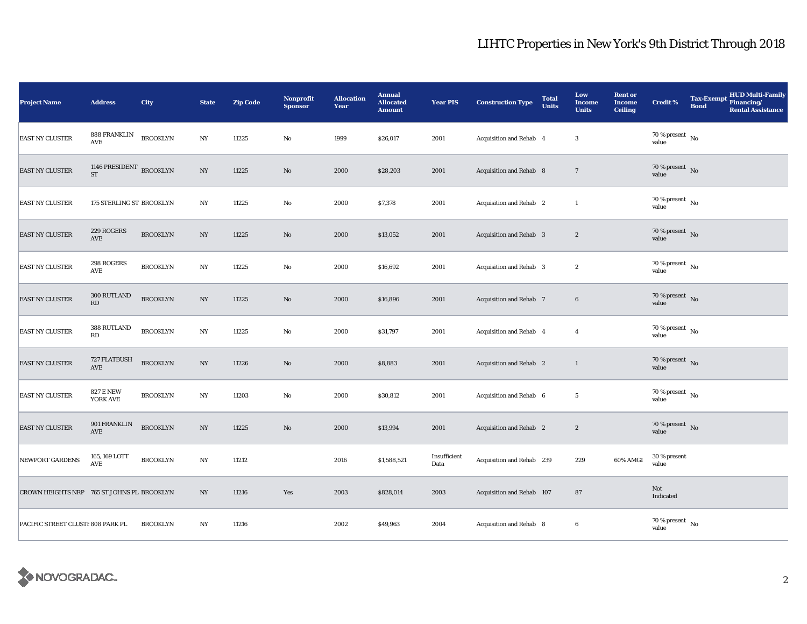| Project Name                               | <b>Address</b>                       | City            | <b>State</b>     | <b>Zip Code</b> | Nonprofit<br><b>Sponsor</b> | <b>Allocation</b><br>Year | <b>Annual</b><br><b>Allocated</b><br><b>Amount</b> | <b>Year PIS</b>      | <b>Construction Type</b>       | <b>Total</b><br><b>Units</b> | Low<br><b>Income</b><br><b>Units</b> | <b>Rent or</b><br><b>Income</b><br><b>Ceiling</b> | <b>Credit %</b>                      | <b>Bond</b> | Tax-Exempt HUD Multi-Family<br><b>Rental Assistance</b> |
|--------------------------------------------|--------------------------------------|-----------------|------------------|-----------------|-----------------------------|---------------------------|----------------------------------------------------|----------------------|--------------------------------|------------------------------|--------------------------------------|---------------------------------------------------|--------------------------------------|-------------|---------------------------------------------------------|
| <b>EAST NY CLUSTER</b>                     | 888 FRANKLIN<br>$\operatorname{AVE}$ | <b>BROOKLYN</b> | $_{\mathrm{NY}}$ | 11225           | $\rm\thinspace No$          | 1999                      | \$26,017                                           | 2001                 | Acquisition and Rehab 4        |                              | $\boldsymbol{3}$                     |                                                   | $70\,\%$ present $\,$ No value       |             |                                                         |
| <b>EAST NY CLUSTER</b>                     | 1146 PRESIDENT BROOKLYN<br><b>ST</b> |                 | NY               | 11225           | No                          | 2000                      | \$28,203                                           | 2001                 | Acquisition and Rehab 8        |                              | $\overline{7}$                       |                                                   | 70 % present $\bar{N}$ o<br>value    |             |                                                         |
| <b>EAST NY CLUSTER</b>                     | 175 STERLING ST BROOKLYN             |                 | $_{\mathrm{NY}}$ | 11225           | $\mathbf {No}$              | 2000                      | \$7,378                                            | 2001                 | Acquisition and Rehab 2        |                              | $\mathbf{1}$                         |                                                   | 70 % present $\hbox{~No}$<br>value   |             |                                                         |
| <b>EAST NY CLUSTER</b>                     | 229 ROGERS<br>$\operatorname{AVE}$   | <b>BROOKLYN</b> | $_{\mathrm{NY}}$ | 11225           | $\rm No$                    | 2000                      | \$13,052                                           | 2001                 | Acquisition and Rehab 3        |                              | $\boldsymbol{2}$                     |                                                   | 70 % present $\hbox{~No}$<br>value   |             |                                                         |
| <b>EAST NY CLUSTER</b>                     | 298 ROGERS<br>AVE                    | <b>BROOKLYN</b> | NY               | 11225           | No                          | 2000                      | \$16,692                                           | 2001                 | Acquisition and Rehab 3        |                              | $\boldsymbol{2}$                     |                                                   | $70$ % present $\,$ No $\,$<br>value |             |                                                         |
| <b>EAST NY CLUSTER</b>                     | 300 RUTLAND<br>RD                    | <b>BROOKLYN</b> | $_{\mathrm{NY}}$ | 11225           | $\rm No$                    | 2000                      | \$16,896                                           | 2001                 | Acquisition and Rehab 7        |                              | $\bf 6$                              |                                                   | $70\,\%$ present $\,$ No value       |             |                                                         |
| <b>EAST NY CLUSTER</b>                     | 388 RUTLAND<br>RD                    | <b>BROOKLYN</b> | NY               | 11225           | $\rm No$                    | 2000                      | \$31,797                                           | 2001                 | Acquisition and Rehab 4        |                              | 4                                    |                                                   | $70\,\%$ present $\,$ No value       |             |                                                         |
| <b>EAST NY CLUSTER</b>                     | 727 FLATBUSH<br>$\operatorname{AVE}$ | <b>BROOKLYN</b> | $_{\mathrm{NY}}$ | 11226           | $\rm\thinspace No$          | 2000                      | \$8,883                                            | 2001                 | Acquisition and Rehab 2        |                              | $\mathbf{1}$                         |                                                   | $70\,\%$ present $\,$ No value       |             |                                                         |
| <b>EAST NY CLUSTER</b>                     | <b>827 E NEW</b><br>YORK AVE         | <b>BROOKLYN</b> | $_{\mathrm{NY}}$ | 11203           | $\rm No$                    | 2000                      | \$30,812                                           | 2001                 | Acquisition and Rehab 6        |                              | $5\phantom{.0}$                      |                                                   | $70$ % present $\,$ No $\,$<br>value |             |                                                         |
| <b>EAST NY CLUSTER</b>                     | 901 FRANKLIN<br>AVE                  | <b>BROOKLYN</b> | $_{\mathrm{NY}}$ | 11225           | $\rm No$                    | 2000                      | \$13,994                                           | 2001                 | <b>Acquisition and Rehab</b> 2 |                              | $\boldsymbol{2}$                     |                                                   | 70 % present $\,$ No $\,$<br>value   |             |                                                         |
| NEWPORT GARDENS                            | 165, 169 LOTT<br><b>AVE</b>          | <b>BROOKLYN</b> | $_{\mathrm{NY}}$ | 11212           |                             | 2016                      | \$1,588,521                                        | Insufficient<br>Data | Acquisition and Rehab 239      |                              | 229                                  | 60% AMGI                                          | 30 % present<br>value                |             |                                                         |
| CROWN HEIGHTS NRP 765 ST JOHNS PL BROOKLYN |                                      |                 | $_{\mathrm{NY}}$ | 11216           | Yes                         | 2003                      | \$828,014                                          | 2003                 | Acquisition and Rehab 107      |                              | ${\bf 87}$                           |                                                   | Not<br>Indicated                     |             |                                                         |
| PACIFIC STREET CLUSTI 808 PARK PL          |                                      | <b>BROOKLYN</b> | NY               | 11216           |                             | 2002                      | \$49,963                                           | 2004                 | Acquisition and Rehab 8        |                              | $\boldsymbol{6}$                     |                                                   | 70 % present $\hbox{~No}$<br>value   |             |                                                         |

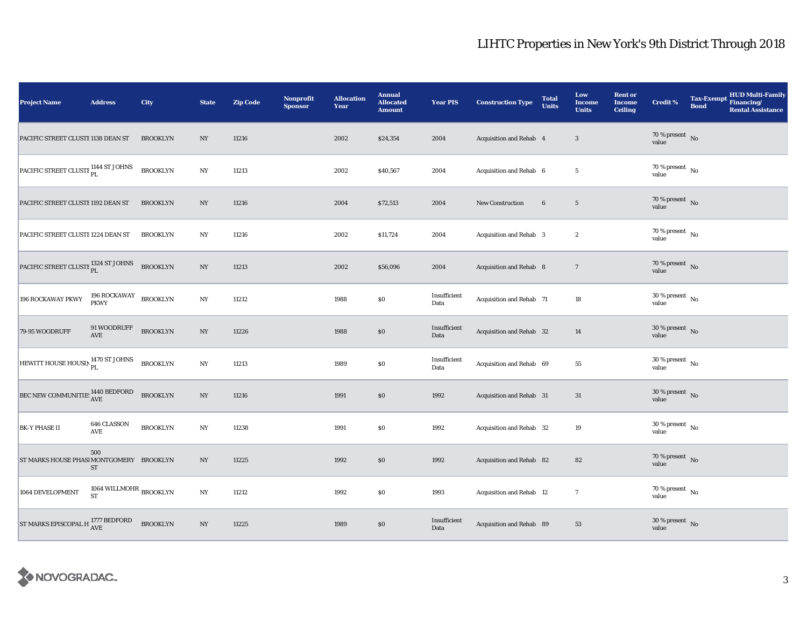| <b>Project Name</b>                               | <b>Address</b>                                                                               | City            | <b>State</b>     | <b>Zip Code</b> | <b>Nonprofit</b><br><b>Sponsor</b> | <b>Allocation</b><br>Year | <b>Annual</b><br><b>Allocated</b><br><b>Amount</b> | <b>Year PIS</b>      | <b>Construction Type</b> | <b>Total</b><br><b>Units</b> | Low<br><b>Income</b><br><b>Units</b> | <b>Rent or</b><br><b>Income</b><br><b>Ceiling</b> | <b>Credit %</b>                      | <b>Bond</b> | Tax-Exempt HUD Multi-Family<br><b>Rental Assistance</b> |
|---------------------------------------------------|----------------------------------------------------------------------------------------------|-----------------|------------------|-----------------|------------------------------------|---------------------------|----------------------------------------------------|----------------------|--------------------------|------------------------------|--------------------------------------|---------------------------------------------------|--------------------------------------|-------------|---------------------------------------------------------|
| PACIFIC STREET CLUSTI 1138 DEAN ST                |                                                                                              | <b>BROOKLYN</b> | NY               | 11216           |                                    | 2002                      | \$24,354                                           | 2004                 | Acquisition and Rehab 4  |                              | $\overline{\mathbf{3}}$              |                                                   | $70\,\%$ present $\,$ No value       |             |                                                         |
| PACIFIC STREET CLUSTI PL                          |                                                                                              | <b>BROOKLYN</b> | $_{\mathrm{NY}}$ | 11213           |                                    | 2002                      | \$40,567                                           | 2004                 | Acquisition and Rehab 6  |                              | $5\phantom{.0}$                      |                                                   | 70 % present $\,$ No $\,$<br>value   |             |                                                         |
| PACIFIC STREET CLUSTI 1192 DEAN ST                |                                                                                              | <b>BROOKLYN</b> | NY               | 11216           |                                    | 2004                      | \$72,513                                           | 2004                 | New Construction         | $\bf 6$                      | $5\phantom{.0}$                      |                                                   | $70\,\%$ present $\,$ No value       |             |                                                         |
| PACIFIC STREET CLUSTI 1224 DEAN ST                |                                                                                              | <b>BROOKLYN</b> | NY               | 11216           |                                    | 2002                      | \$11,724                                           | 2004                 | Acquisition and Rehab 3  |                              | $\boldsymbol{2}$                     |                                                   | $70\,\%$ present $\,$ No value       |             |                                                         |
| PACIFIC STREET CLUSTI PL                          |                                                                                              | <b>BROOKLYN</b> | $_{\mathrm{NY}}$ | 11213           |                                    | 2002                      | \$56,096                                           | 2004                 | Acquisition and Rehab 8  |                              | $7\phantom{.0}$                      |                                                   | $70\,\%$ present $\,$ No value       |             |                                                         |
| 196 ROCKAWAY PKWY                                 | $\begin{array}{ll} \textbf{196 ROCKAWAY} & \textbf{BROOKLYN} \\ \textbf{PKWY} & \end{array}$ |                 | $_{\mathrm{NY}}$ | 11212           |                                    | 1988                      | $\$0$                                              | Insufficient<br>Data | Acquisition and Rehab 71 |                              | 18                                   |                                                   | $30\,\%$ present $\,$ No value       |             |                                                         |
| 79-95 WOODRUFF                                    | 91 WOODRUFF<br>AVE                                                                           | <b>BROOKLYN</b> | NY               | 11226           |                                    | 1988                      | \$0\$                                              | Insufficient<br>Data | Acquisition and Rehab 32 |                              | 14                                   |                                                   | $30\,\%$ present $\,$ No value       |             |                                                         |
| HEWITT HOUSE HOUSIN 1470 ST JOHNS                 |                                                                                              | <b>BROOKLYN</b> | $_{\mathrm{NY}}$ | 11213           |                                    | 1989                      | $\$0$                                              | Insufficient<br>Data | Acquisition and Rehab 69 |                              | 55                                   |                                                   | $30\,\%$ present $\,$ No value       |             |                                                         |
| BEC NEW COMMUNITIE: 1440 BEDFORD                  |                                                                                              | <b>BROOKLYN</b> | $_{\mathrm{NY}}$ | 11216           |                                    | 1991                      | $\$0$                                              | 1992                 | Acquisition and Rehab 31 |                              | 31                                   |                                                   | 30 % present $\overline{N}$<br>value |             |                                                         |
| <b>BK-Y PHASE II</b>                              | 646 CLASSON<br>AVE                                                                           | <b>BROOKLYN</b> | NY               | 11238           |                                    | 1991                      | \$0                                                | 1992                 | Acquisition and Rehab 32 |                              | 19                                   |                                                   | $30$ % present $\,$ No $\,$<br>value |             |                                                         |
| ST MARKS HOUSE PHASI MONTGOMERY BROOKLYN          | 500<br>ST                                                                                    |                 | NY               | 11225           |                                    | 1992                      | \$0                                                | 1992                 | Acquisition and Rehab 82 |                              | 82                                   |                                                   | $70\,\%$ present $\,$ No value       |             |                                                         |
| 1064 DEVELOPMENT                                  | 1064 WILLMOHR $_{\rm BROOKLYN}$<br><b>ST</b>                                                 |                 | $_{\mathrm{NY}}$ | 11212           |                                    | 1992                      | \$0                                                | 1993                 | Acquisition and Rehab 12 |                              | $\overline{7}$                       |                                                   | 70 % present $\hbox{~No}$<br>value   |             |                                                         |
| ST MARKS EPISCOPAL H $^{1777}_{\rm{AVE}}$ BEDFORD |                                                                                              | <b>BROOKLYN</b> | $_{\mathrm{NY}}$ | 11225           |                                    | 1989                      | $\$0$                                              | Insufficient<br>Data | Acquisition and Rehab 89 |                              | 53                                   |                                                   | $30\,\%$ present $\,$ No value       |             |                                                         |

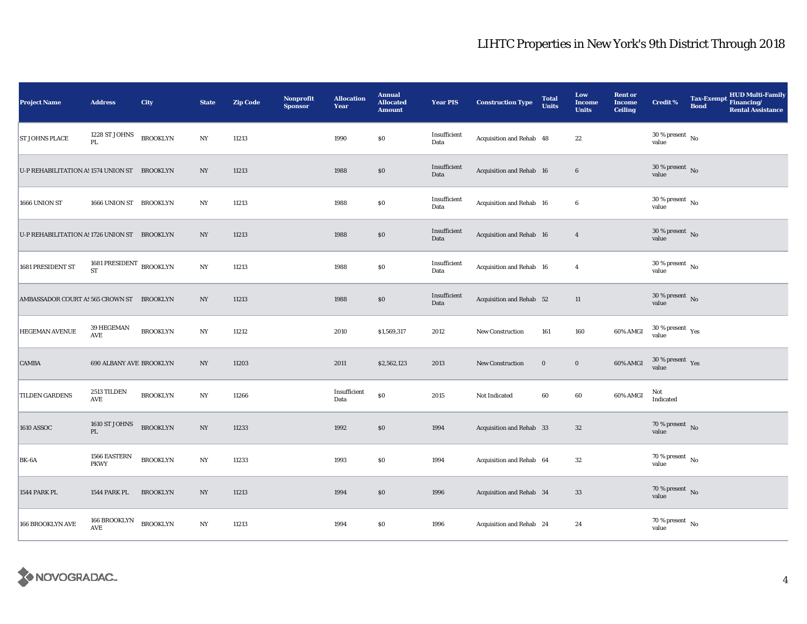| <b>Project Name</b>                          | <b>Address</b>                 | <b>City</b>     | <b>State</b>     | <b>Zip Code</b> | <b>Nonprofit</b><br><b>Sponsor</b> | <b>Allocation</b><br>Year | <b>Annual</b><br><b>Allocated</b><br><b>Amount</b> | <b>Year PIS</b>      | <b>Construction Type</b> | <b>Total</b><br><b>Units</b> | Low<br><b>Income</b><br><b>Units</b> | <b>Rent or</b><br><b>Income</b><br><b>Ceiling</b> | <b>Credit %</b>                      | <b>Bond</b> | HUD Multi-Family<br>Tax-Exempt Financing/<br><b>Rental Assistance</b> |
|----------------------------------------------|--------------------------------|-----------------|------------------|-----------------|------------------------------------|---------------------------|----------------------------------------------------|----------------------|--------------------------|------------------------------|--------------------------------------|---------------------------------------------------|--------------------------------------|-------------|-----------------------------------------------------------------------|
| <b>ST JOHNS PLACE</b>                        | 1228 ST JOHNS<br>PL.           | <b>BROOKLYN</b> | $_{\mathrm{NY}}$ | 11213           |                                    | 1990                      | $\$0$                                              | Insufficient<br>Data | Acquisition and Rehab 48 |                              | $22\,$                               |                                                   | $30\,\%$ present $\,$ No value       |             |                                                                       |
| U-P REHABILITATION A: 1574 UNION ST BROOKLYN |                                |                 | NY               | 11213           |                                    | 1988                      | $\$0$                                              | Insufficient<br>Data | Acquisition and Rehab 16 |                              | 6                                    |                                                   | 30 % present $\,$ No $\,$<br>value   |             |                                                                       |
| 1666 UNION ST                                | 1666 UNION ST BROOKLYN         |                 | NY               | 11213           |                                    | 1988                      | \$0                                                | Insufficient<br>Data | Acquisition and Rehab 16 |                              | $6\phantom{.0}$                      |                                                   | $30$ % present $\,$ No $\,$<br>value |             |                                                                       |
| U-P REHABILITATION A: 1726 UNION ST BROOKLYN |                                |                 | NY               | 11213           |                                    | 1988                      | \$0                                                | Insufficient<br>Data | Acquisition and Rehab 16 |                              | $\overline{4}$                       |                                                   | $30$ % present $\,$ No $\,$<br>value |             |                                                                       |
| 1681 PRESIDENT ST                            | 1681 PRESIDENT<br><b>ST</b>    | <b>BROOKLYN</b> | $_{\mathrm{NY}}$ | 11213           |                                    | 1988                      | \$0                                                | Insufficient<br>Data | Acquisition and Rehab 16 |                              | $\overline{4}$                       |                                                   | $30$ % present $\,$ No $\,$<br>value |             |                                                                       |
| AMBASSADOR COURT AS 565 CROWN ST BROOKLYN    |                                |                 | NY               | 11213           |                                    | 1988                      | \$0                                                | Insufficient<br>Data | Acquisition and Rehab 52 |                              | 11                                   |                                                   | $30\,\%$ present $\,$ No value       |             |                                                                       |
| HEGEMAN AVENUE                               | 39 HEGEMAN<br>AVE              | <b>BROOKLYN</b> | $_{\mathrm{NY}}$ | 11212           |                                    | 2010                      | \$1,569,317                                        | 2012                 | <b>New Construction</b>  | 161                          | 160                                  | 60% AMGI                                          | $30\,\%$ present $\,$ Yes value      |             |                                                                       |
| <b>CAMBA</b>                                 | 690 ALBANY AVE BROOKLYN        |                 | NY               | 11203           |                                    | 2011                      | \$2,562,123                                        | 2013                 | <b>New Construction</b>  | $\mathbf 0$                  | $\mathbf 0$                          | 60% AMGI                                          | $30\,\%$ present $\,$ Yes value      |             |                                                                       |
| TILDEN GARDENS                               | 2513 TILDEN<br><b>AVE</b>      | <b>BROOKLYN</b> | $_{\mathrm{NY}}$ | 11266           |                                    | Insufficient<br>Data      | \$0                                                | 2015                 | Not Indicated            | 60                           | 60                                   | 60% AMGI                                          | Not<br>Indicated                     |             |                                                                       |
| <b>1610 ASSOC</b>                            | 1610 ST JOHNS<br>$\mathbf{PL}$ | <b>BROOKLYN</b> | NY               | 11233           |                                    | 1992                      | \$0                                                | 1994                 | Acquisition and Rehab 33 |                              | 32                                   |                                                   | 70 % present $\hbox{~No}$<br>value   |             |                                                                       |
| BK-6A                                        | 1566 EASTERN<br><b>PKWY</b>    | <b>BROOKLYN</b> | NY               | 11233           |                                    | 1993                      | \$0                                                | 1994                 | Acquisition and Rehab 64 |                              | 32                                   |                                                   | 70 % present $\hbox{~No}$<br>value   |             |                                                                       |
| 1544 PARK PL                                 | 1544 PARK PL                   | <b>BROOKLYN</b> | $_{\mathrm{NY}}$ | 11213           |                                    | 1994                      | \$0                                                | 1996                 | Acquisition and Rehab 34 |                              | 33                                   |                                                   | 70 % present $\hbox{~No}$<br>value   |             |                                                                       |
| 166 BROOKLYN AVE                             | 166 BROOKLYN<br>AVE            | <b>BROOKLYN</b> | $_{\mathrm{NY}}$ | 11213           |                                    | 1994                      | \$0                                                | 1996                 | Acquisition and Rehab 24 |                              | 24                                   |                                                   | 70 % present $\hbox{~No}$<br>value   |             |                                                                       |

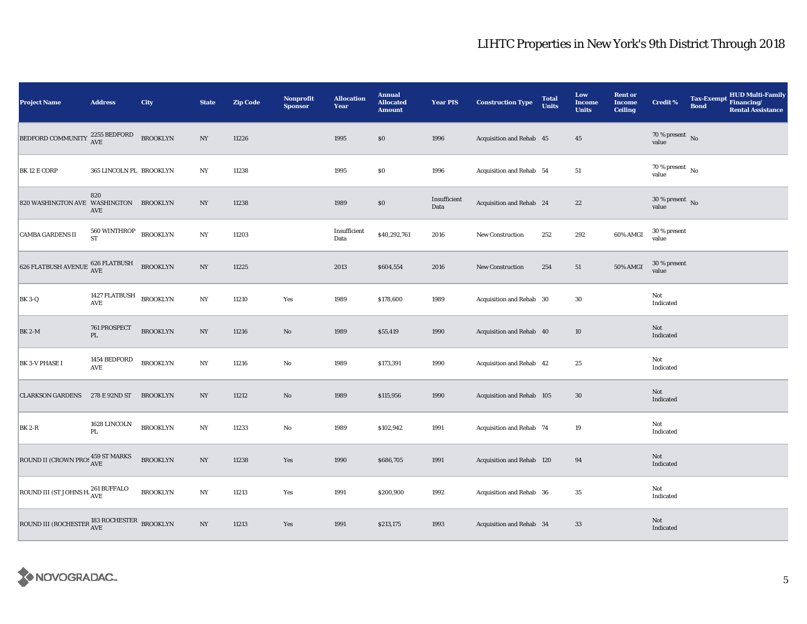| <b>Project Name</b>                                                                            | <b>Address</b>                | City            | <b>State</b>     | <b>Zip Code</b> | <b>Nonprofit</b><br><b>Sponsor</b> | <b>Allocation</b><br>Year | <b>Annual</b><br><b>Allocated</b><br><b>Amount</b> | <b>Year PIS</b>      | <b>Construction Type</b>  | <b>Total</b><br><b>Units</b> | Low<br><b>Income</b><br><b>Units</b> | <b>Rent or</b><br><b>Income</b><br><b>Ceiling</b> | <b>Credit %</b>                      | <b>Tax-Exempt</b><br><b>Bond</b> | HUD Multi-Family<br>Financing/<br><b>Rental Assistance</b> |
|------------------------------------------------------------------------------------------------|-------------------------------|-----------------|------------------|-----------------|------------------------------------|---------------------------|----------------------------------------------------|----------------------|---------------------------|------------------------------|--------------------------------------|---------------------------------------------------|--------------------------------------|----------------------------------|------------------------------------------------------------|
| <b>BEDFORD COMMUNITY</b>                                                                       | 2255 BEDFORD<br>AVE           | <b>BROOKLYN</b> | NY               | 11226           |                                    | 1995                      | \$0                                                | 1996                 | Acquisition and Rehab 45  |                              | $45\,$                               |                                                   | $70\,\%$ present $${\rm No}$$ value  |                                  |                                                            |
| BK 12 E CORP                                                                                   | 365 LINCOLN PL BROOKLYN       |                 | NY               | 11238           |                                    | 1995                      | $\$0$                                              | 1996                 | Acquisition and Rehab 54  |                              | 51                                   |                                                   | $70$ % present $\,$ No $\,$<br>value |                                  |                                                            |
| 820 WASHINGTON AVE WASHINGTON BROOKLYN                                                         | 820<br>AVE                    |                 | $_{\mathrm{NY}}$ | 11238           |                                    | 1989                      | \$0                                                | Insufficient<br>Data | Acquisition and Rehab 24  |                              | $\bf{22}$                            |                                                   | $30$ % present $\,$ No $\,$<br>value |                                  |                                                            |
| <b>CAMBA GARDENS II</b>                                                                        | 560 WINTHROP<br><b>ST</b>     | <b>BROOKLYN</b> | $_{\mathrm{NY}}$ | 11203           |                                    | Insufficient<br>Data      | \$40,292,761                                       | 2016                 | New Construction          | 252                          | 292                                  | 60% AMGI                                          | 30 % present<br>value                |                                  |                                                            |
| $626 \; \mathrm{FLATBUSH} \; \mathrm{AVENUE} \; \frac{626 \; \mathrm{FLATBUSH}}{\mathrm{AVE}}$ |                               | <b>BROOKLYN</b> | $_{\mathrm{NY}}$ | 11225           |                                    | 2013                      | \$604,554                                          | 2016                 | New Construction          | 254                          | $51\,$                               | 50% AMGI                                          | 30 % present<br>value                |                                  |                                                            |
| <b>BK 3-Q</b>                                                                                  | 1427 FLATBUSH<br>AVE          | <b>BROOKLYN</b> | $_{\rm NY}$      | 11210           | Yes                                | 1989                      | \$178,600                                          | 1989                 | Acquisition and Rehab 30  |                              | $30\,$                               |                                                   | Not<br>Indicated                     |                                  |                                                            |
| <b>BK 2-M</b>                                                                                  | 761 PROSPECT<br>$\mathbf{PL}$ | <b>BROOKLYN</b> | NY               | 11216           | $\rm No$                           | 1989                      | \$55,419                                           | 1990                 | Acquisition and Rehab 40  |                              | 10                                   |                                                   | Not<br>Indicated                     |                                  |                                                            |
| <b>BK 3-V PHASE I</b>                                                                          | 1454 BEDFORD<br>AVE           | <b>BROOKLYN</b> | $_{\rm NY}$      | 11216           | $\rm No$                           | 1989                      | \$173,391                                          | 1990                 | Acquisition and Rehab 42  |                              | $25\,$                               |                                                   | Not<br>Indicated                     |                                  |                                                            |
| <b>CLARKSON GARDENS</b>                                                                        | 278 E 92ND ST                 | <b>BROOKLYN</b> | $_{\mathrm{NY}}$ | 11212           | $\rm\thinspace No$                 | 1989                      | \$115,956                                          | 1990                 | Acquisition and Rehab 105 |                              | 30                                   |                                                   | Not<br>Indicated                     |                                  |                                                            |
| <b>BK 2-R</b>                                                                                  | 1628 LINCOLN<br>PL            | <b>BROOKLYN</b> | $_{\mathrm{NY}}$ | 11233           | $\rm No$                           | 1989                      | \$102,942                                          | 1991                 | Acquisition and Rehab 74  |                              | 19                                   |                                                   | Not<br>Indicated                     |                                  |                                                            |
| ROUND II (CROWN PROS 459 ST MARKS                                                              |                               | <b>BROOKLYN</b> | $_{\mathrm{NY}}$ | 11238           | Yes                                | 1990                      | \$686,705                                          | 1991                 | Acquisition and Rehab 120 |                              | 94                                   |                                                   | Not<br>Indicated                     |                                  |                                                            |
| ROUND III (ST JOHNS H. $_{\rm AVE}^{261}$ BUFFALO                                              |                               | <b>BROOKLYN</b> | $_{\mathrm{NY}}$ | 11213           | Yes                                | 1991                      | \$200,900                                          | 1992                 | Acquisition and Rehab 36  |                              | $35\,$                               |                                                   | Not<br>Indicated                     |                                  |                                                            |
| ROUND III (ROCHESTER $_{\rm AVE}^{183\rm\,ROCHESTER}$ BROOKLYN                                 |                               |                 | $_{\mathrm{NY}}$ | 11213           | Yes                                | 1991                      | \$213,175                                          | 1993                 | Acquisition and Rehab 34  |                              | $33\,$                               |                                                   | Not<br>Indicated                     |                                  |                                                            |

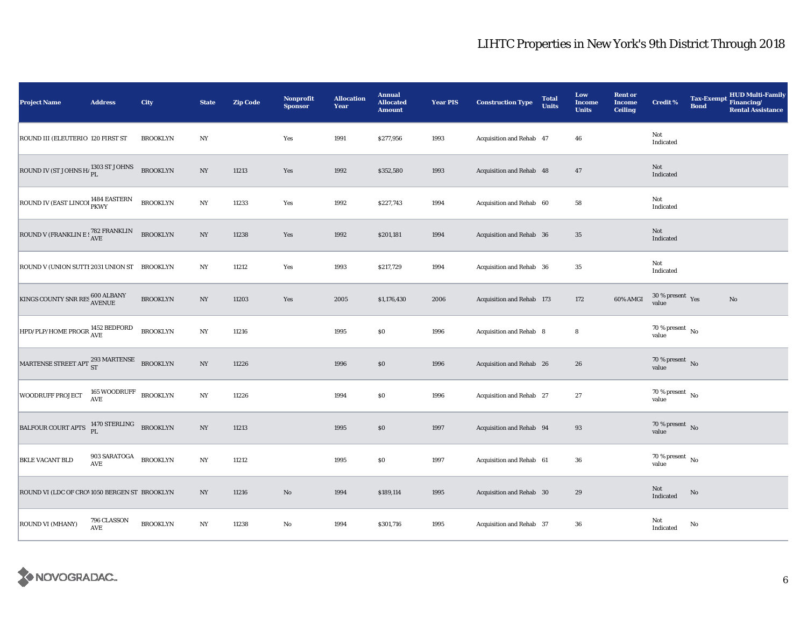| <b>Project Name</b>                                                  | <b>Address</b>             | City            | <b>State</b>     | <b>Zip Code</b> | Nonprofit<br><b>Sponsor</b> | <b>Allocation</b><br>Year | <b>Annual</b><br><b>Allocated</b><br><b>Amount</b> | <b>Year PIS</b> | <b>Construction Type</b>  | <b>Total</b><br><b>Units</b> | Low<br><b>Income</b><br><b>Units</b> | <b>Rent or</b><br><b>Income</b><br><b>Ceiling</b> | <b>Credit %</b>                      | <b>Tax-Exempt</b><br><b>Bond</b> | HUD Multi-Family<br>Financing/<br><b>Rental Assistance</b> |
|----------------------------------------------------------------------|----------------------------|-----------------|------------------|-----------------|-----------------------------|---------------------------|----------------------------------------------------|-----------------|---------------------------|------------------------------|--------------------------------------|---------------------------------------------------|--------------------------------------|----------------------------------|------------------------------------------------------------|
| ROUND III (ELEUTERIO 120 FIRST ST                                    |                            | <b>BROOKLYN</b> | NY               |                 | Yes                         | 1991                      | \$277,956                                          | 1993            | Acquisition and Rehab 47  |                              | 46                                   |                                                   | Not<br>Indicated                     |                                  |                                                            |
| ROUND IV (ST JOHNS H <sub><math>_{\rm PL}</math></sub> 1303 ST JOHNS |                            | <b>BROOKLYN</b> | NY               | 11213           | Yes                         | 1992                      | \$352,580                                          | 1993            | Acquisition and Rehab 48  |                              | 47                                   |                                                   | Not<br>Indicated                     |                                  |                                                            |
| ROUND IV (EAST LINCOI 1484 EASTERN                                   |                            | <b>BROOKLYN</b> | $_{\mathrm{NY}}$ | 11233           | Yes                         | 1992                      | \$227,743                                          | 1994            | Acquisition and Rehab 60  |                              | ${\bf 58}$                           |                                                   | Not<br>Indicated                     |                                  |                                                            |
| ROUND V (FRANKLIN E : $_{\rm AVE}^{782}$ FRANKLIN                    |                            | <b>BROOKLYN</b> | NY               | 11238           | Yes                         | 1992                      | \$201,181                                          | 1994            | Acquisition and Rehab 36  |                              | $35\,$                               |                                                   | Not<br>Indicated                     |                                  |                                                            |
| ROUND V (UNION SUTTI 2031 UNION ST BROOKLYN                          |                            |                 | $_{\mathrm{NY}}$ | 11212           | Yes                         | 1993                      | \$217,729                                          | 1994            | Acquisition and Rehab 36  |                              | 35                                   |                                                   | Not<br>Indicated                     |                                  |                                                            |
| KINGS COUNTY SNR RES $_{\rm AVENUE}^{600\,\rm ALBANY}$               |                            | <b>BROOKLYN</b> | $_{\mathrm{NY}}$ | 11203           | Yes                         | 2005                      | \$1,176,430                                        | 2006            | Acquisition and Rehab 173 |                              | 172                                  | 60% AMGI                                          | $30\,\%$ present $\,$ Yes value      |                                  | $\mathbf{No}$                                              |
| HPD/PLP/HOME PROGR 1452 BEDFORD                                      |                            | <b>BROOKLYN</b> | $_{\mathrm{NY}}$ | 11216           |                             | 1995                      | \$0                                                | 1996            | Acquisition and Rehab 8   |                              | 8                                    |                                                   | 70 % present $\hbox{~No}$<br>value   |                                  |                                                            |
| MARTENSE STREET APT 293 MARTENSE                                     |                            | <b>BROOKLYN</b> | $_{\mathrm{NY}}$ | 11226           |                             | 1996                      | $\$0$                                              | 1996            | Acquisition and Rehab 26  |                              | 26                                   |                                                   | $70\,\%$ present $\,$ No value       |                                  |                                                            |
| <b>WOODRUFF PROJECT</b>                                              | 165 WOODRUFF<br>AVE        | <b>BROOKLYN</b> | $_{\mathrm{NY}}$ | 11226           |                             | 1994                      | $\$0$                                              | 1996            | Acquisition and Rehab 27  |                              | $\sqrt{27}$                          |                                                   | $70$ % present $\,$ No $\,$<br>value |                                  |                                                            |
| BALFOUR COURT APTS <sup>1470</sup> STERLING BROOKLYN                 |                            |                 | NY               | 11213           |                             | 1995                      | \$0                                                | 1997            | Acquisition and Rehab 94  |                              | 93                                   |                                                   | 70 % present $\hbox{~No}$<br>value   |                                  |                                                            |
| <b>BKLE VACANT BLD</b>                                               | 903 SARATOGA<br><b>AVE</b> | <b>BROOKLYN</b> | NY               | 11212           |                             | 1995                      | \$0                                                | 1997            | Acquisition and Rehab 61  |                              | 36                                   |                                                   | 70 % present $\hbox{~No}$<br>value   |                                  |                                                            |
| ROUND VI (LDC OF CRO' 1050 BERGEN ST BROOKLYN                        |                            |                 | $_{\mathrm{NY}}$ | 11216           | $\rm\thinspace No$          | 1994                      | \$189,114                                          | 1995            | Acquisition and Rehab 30  |                              | 29                                   |                                                   | Not<br>Indicated                     | $\mathbf{No}$                    |                                                            |
| <b>ROUND VI (MHANY)</b>                                              | 796 CLASSON<br>AVE         | <b>BROOKLYN</b> | $_{\mathrm{NY}}$ | 11238           | $\rm No$                    | 1994                      | \$301,716                                          | 1995            | Acquisition and Rehab 37  |                              | 36                                   |                                                   | Not<br>Indicated                     | No                               |                                                            |

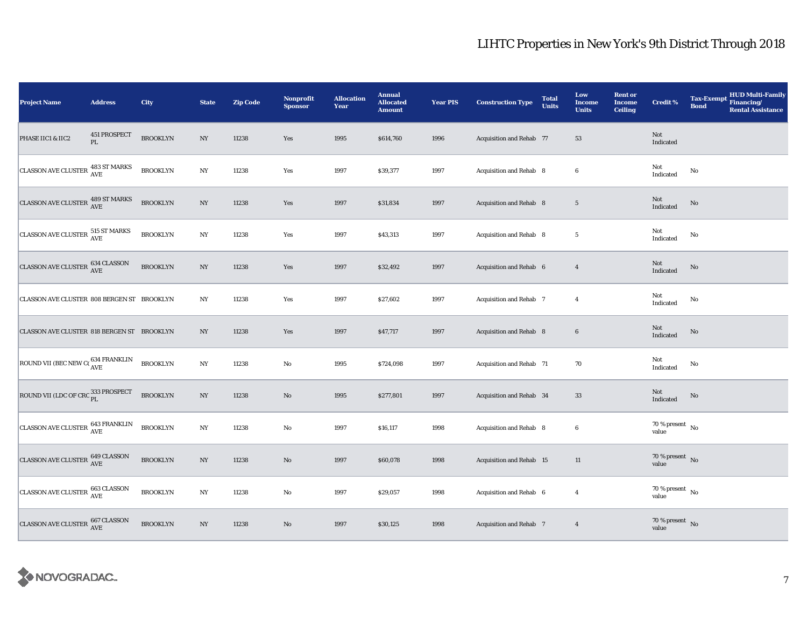| <b>Project Name</b>                                 | <b>Address</b>                | City            | <b>State</b>     | <b>Zip Code</b> | Nonprofit<br><b>Sponsor</b> | <b>Allocation</b><br>Year | <b>Annual</b><br><b>Allocated</b><br><b>Amount</b> | <b>Year PIS</b> | <b>Construction Type</b>        | <b>Total</b><br><b>Units</b> | Low<br><b>Income</b><br><b>Units</b> | <b>Rent or</b><br><b>Income</b><br><b>Ceiling</b> | <b>Credit %</b>                            | <b>HUD Multi-Family</b><br><b>Tax-Exempt</b><br>Financing/<br><b>Bond</b><br><b>Rental Assistance</b> |
|-----------------------------------------------------|-------------------------------|-----------------|------------------|-----------------|-----------------------------|---------------------------|----------------------------------------------------|-----------------|---------------------------------|------------------------------|--------------------------------------|---------------------------------------------------|--------------------------------------------|-------------------------------------------------------------------------------------------------------|
| PHASE IIC1 & IIC2                                   | 451 PROSPECT<br>$\mathbf{PL}$ | <b>BROOKLYN</b> | $_{\mathrm{NY}}$ | 11238           | Yes                         | 1995                      | \$614,760                                          | 1996            | <b>Acquisition and Rehab 77</b> |                              | 53                                   |                                                   | Not<br>Indicated                           |                                                                                                       |
| CLASSON AVE CLUSTER 483 ST MARKS                    |                               | <b>BROOKLYN</b> | $_{\mathrm{NY}}$ | 11238           | Yes                         | 1997                      | \$39,377                                           | 1997            | Acquisition and Rehab 8         |                              | $\bf 6$                              |                                                   | Not<br>Indicated                           | $\mathbf{No}$                                                                                         |
| CLASSON AVE CLUSTER 489 ST MARKS                    |                               | <b>BROOKLYN</b> | NY               | 11238           | Yes                         | 1997                      | \$31,834                                           | 1997            | Acquisition and Rehab 8         |                              | $5\phantom{.0}$                      |                                                   | $\operatorname{\mathsf{Not}}$<br>Indicated | $\rm No$                                                                                              |
| CLASSON AVE CLUSTER 515 ST MARKS                    |                               | <b>BROOKLYN</b> | NY               | 11238           | Yes                         | 1997                      | \$43,313                                           | 1997            | Acquisition and Rehab 8         |                              | $5\phantom{.0}$                      |                                                   | Not<br>Indicated                           | No                                                                                                    |
| <b>CLASSON AVE CLUSTER</b>                          | 634 CLASSON<br>AVE            | <b>BROOKLYN</b> | $_{\mathrm{NY}}$ | 11238           | Yes                         | 1997                      | \$32,492                                           | 1997            | Acquisition and Rehab 6         |                              | $\overline{4}$                       |                                                   | Not<br>Indicated                           | No                                                                                                    |
| CLASSON AVE CLUSTER 808 BERGEN ST BROOKLYN          |                               |                 | NY               | 11238           | Yes                         | 1997                      | \$27,602                                           | 1997            | Acquisition and Rehab 7         |                              | $\overline{4}$                       |                                                   | Not<br>Indicated                           | $\mathbf{No}$                                                                                         |
| CLASSON AVE CLUSTER 818 BERGEN ST BROOKLYN          |                               |                 | $_{\mathrm{NY}}$ | 11238           | Yes                         | 1997                      | \$47,717                                           | 1997            | Acquisition and Rehab 8         |                              | $\bf 6$                              |                                                   | Not<br>Indicated                           | $\mathbf{No}$                                                                                         |
| ROUND VII (BEC NEW CO $_{\rm AVE}^{634}$ FRANKLIN   |                               | <b>BROOKLYN</b> | $_{\mathrm{NY}}$ | 11238           | No                          | 1995                      | \$724,098                                          | 1997            | Acquisition and Rehab 71        |                              | 70                                   |                                                   | Not<br>Indicated                           | No                                                                                                    |
| ROUND VII (LDC OF CRC $^{333}_{\rm PL}$ PROSPECT    |                               | <b>BROOKLYN</b> | $_{\mathrm{NY}}$ | 11238           | $\rm No$                    | 1995                      | \$277,801                                          | 1997            | Acquisition and Rehab 34        |                              | $33\,$                               |                                                   | $\operatorname{\bf Not}$<br>Indicated      | $\mathbf{No}$                                                                                         |
| CLASSON AVE CLUSTER 643 FRANKLIN                    |                               | <b>BROOKLYN</b> | $_{\mathrm{NY}}$ | 11238           | $\rm No$                    | 1997                      | \$16,117                                           | 1998            | Acquisition and Rehab 8         |                              | $\boldsymbol{6}$                     |                                                   | 70 % present $\hbox{~No}$<br>value         |                                                                                                       |
| CLASSON AVE CLUSTER 649 CLASSON                     |                               | <b>BROOKLYN</b> | NY               | 11238           | $\rm No$                    | 1997                      | \$60,078                                           | 1998            | <b>Acquisition and Rehab 15</b> |                              | 11                                   |                                                   | 70 % present $\hbox{~No}$<br>value         |                                                                                                       |
| CLASSON AVE CLUSTER 663 CLASSON                     |                               | <b>BROOKLYN</b> | $_{\mathrm{NY}}$ | 11238           | $\rm No$                    | 1997                      | \$29,057                                           | 1998            | Acquisition and Rehab 6         |                              | $\overline{4}$                       |                                                   | 70 % present $\hbox{~No}$<br>value         |                                                                                                       |
| CLASSON AVE CLUSTER $^{667\,\rm CLASSON}_{\rm AVE}$ |                               | <b>BROOKLYN</b> | $_{\mathrm{NY}}$ | 11238           | $\rm No$                    | 1997                      | \$30,125                                           | 1998            | <b>Acquisition and Rehab 7</b>  |                              | $\overline{4}$                       |                                                   | 70 % present $\bar{N}$ o<br>value          |                                                                                                       |

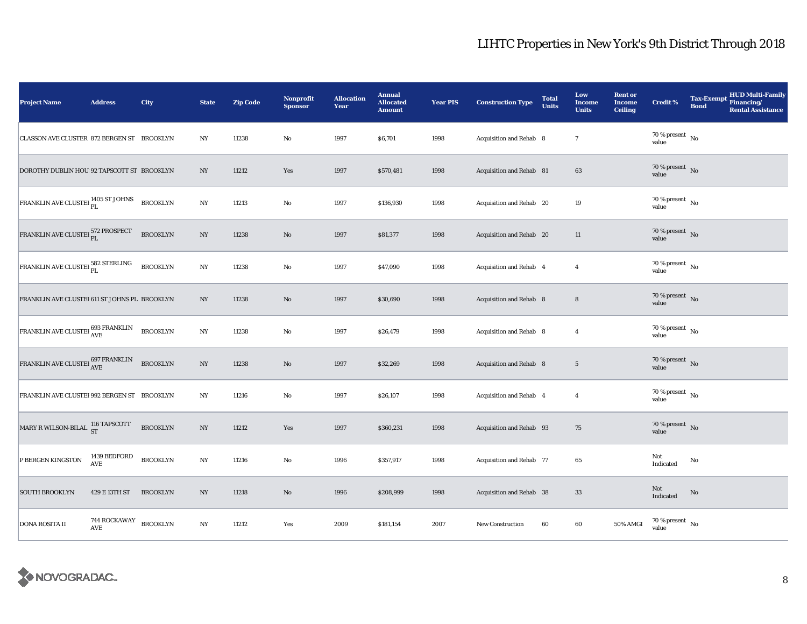| <b>Project Name</b>                                                         | <b>Address</b>             | City            | <b>State</b>     | <b>Zip Code</b> | Nonprofit<br><b>Sponsor</b> | <b>Allocation</b><br>Year | <b>Annual</b><br><b>Allocated</b><br><b>Amount</b> | <b>Year PIS</b> | <b>Construction Type</b>       | <b>Total</b><br><b>Units</b> | Low<br><b>Income</b><br><b>Units</b> | <b>Rent or</b><br><b>Income</b><br><b>Ceiling</b> | <b>Credit %</b>                      | <b>Tax-Exempt</b><br><b>Bond</b> | <b>HUD Multi-Family</b><br>Financing/<br><b>Rental Assistance</b> |
|-----------------------------------------------------------------------------|----------------------------|-----------------|------------------|-----------------|-----------------------------|---------------------------|----------------------------------------------------|-----------------|--------------------------------|------------------------------|--------------------------------------|---------------------------------------------------|--------------------------------------|----------------------------------|-------------------------------------------------------------------|
| CLASSON AVE CLUSTER 872 BERGEN ST BROOKLYN                                  |                            |                 | $_{\mathrm{NY}}$ | 11238           | $\rm No$                    | 1997                      | \$6,701                                            | 1998            | <b>Acquisition and Rehab 8</b> |                              | $\tau$                               |                                                   | 70 % present $\hbox{~No}$<br>value   |                                  |                                                                   |
| DOROTHY DUBLIN HOU 92 TAPSCOTT ST BROOKLYN                                  |                            |                 | NY               | 11212           | Yes                         | 1997                      | \$570,481                                          | 1998            | Acquisition and Rehab 81       |                              | 63                                   |                                                   | 70 % present $\,$ No $\,$<br>value   |                                  |                                                                   |
| FRANKLIN AVE CLUSTEI <sup>1405</sup> ST JOHNS                               |                            | <b>BROOKLYN</b> | NY               | 11213           | $\rm No$                    | 1997                      | \$136,930                                          | 1998            | Acquisition and Rehab 20       |                              | 19                                   |                                                   | 70 % present $\hbox{~No}$<br>value   |                                  |                                                                   |
| FRANKLIN AVE CLUSTEI PL                                                     |                            | <b>BROOKLYN</b> | NY               | 11238           | $\rm No$                    | 1997                      | \$81,377                                           | 1998            | Acquisition and Rehab 20       |                              | 11                                   |                                                   | 70 % present $\hbox{~No}$<br>value   |                                  |                                                                   |
| $\boxed{\text{FRANKLIN AVE CLUSTEI}\frac{582\;\text{STERLING}}{\text{PL}}}$ |                            | <b>BROOKLYN</b> | $_{\mathrm{NY}}$ | 11238           | $\rm No$                    | 1997                      | \$47,090                                           | 1998            | Acquisition and Rehab 4        |                              | $\overline{4}$                       |                                                   | 70 % present $\hbox{~No}$<br>value   |                                  |                                                                   |
| FRANKLIN AVE CLUSTEI 611 ST JOHNS PL BROOKLYN                               |                            |                 | $_{\mathrm{NY}}$ | 11238           | No                          | 1997                      | \$30,690                                           | 1998            | Acquisition and Rehab 8        |                              | $\bf8$                               |                                                   | 70 % present $\hbox{~No}$<br>value   |                                  |                                                                   |
| FRANKLIN AVE CLUSTEI 693 FRANKLIN                                           |                            | <b>BROOKLYN</b> | $_{\mathrm{NY}}$ | 11238           | $\rm No$                    | 1997                      | \$26,479                                           | 1998            | Acquisition and Rehab 8        |                              | $\overline{4}$                       |                                                   | 70 % present $\hbox{~No}$<br>value   |                                  |                                                                   |
| FRANKLIN AVE CLUSTEI $^{697\, \rm FRANKLIN}_{\rm AVE}$                      |                            | <b>BROOKLYN</b> | $_{\mathrm{NY}}$ | 11238           | $\rm No$                    | 1997                      | \$32,269                                           | 1998            | <b>Acquisition and Rehab 8</b> |                              | $5\phantom{.0}$                      |                                                   | $70\,\%$ present $\,$ No value       |                                  |                                                                   |
| FRANKLIN AVE CLUSTEI 992 BERGEN ST BROOKLYN                                 |                            |                 | NY               | 11216           | No                          | 1997                      | \$26,107                                           | 1998            | Acquisition and Rehab 4        |                              | $\overline{4}$                       |                                                   | $70$ % present $\,$ No $\,$<br>value |                                  |                                                                   |
| MARY R WILSON-BILAL 116 TAPSCOTT                                            |                            | <b>BROOKLYN</b> | NY               | 11212           | Yes                         | 1997                      | \$360,231                                          | 1998            | Acquisition and Rehab 93       |                              | 75                                   |                                                   | 70 % present $\hbox{~No}$<br>value   |                                  |                                                                   |
| P BERGEN KINGSTON                                                           | 1439 BEDFORD<br><b>AVE</b> | <b>BROOKLYN</b> | NY               | 11216           | $\rm No$                    | 1996                      | \$357,917                                          | 1998            | Acquisition and Rehab 77       |                              | 65                                   |                                                   | Not<br>Indicated                     | No                               |                                                                   |
| <b>SOUTH BROOKLYN</b>                                                       | 429 E 13TH ST              | <b>BROOKLYN</b> | $_{\mathrm{NY}}$ | 11218           | $\rm\thinspace No$          | 1996                      | \$208,999                                          | 1998            | Acquisition and Rehab 38       |                              | 33                                   |                                                   | Not<br>Indicated                     | $\mathbf{No}$                    |                                                                   |
| <b>DONA ROSITA II</b>                                                       | <b>744 ROCKAWAY</b><br>AVE | <b>BROOKLYN</b> | $_{\mathrm{NY}}$ | 11212           | Yes                         | 2009                      | \$181,154                                          | 2007            | New Construction               | 60                           | 60                                   | 50% AMGI                                          | 70 % present $\hbox{~No}$<br>value   |                                  |                                                                   |

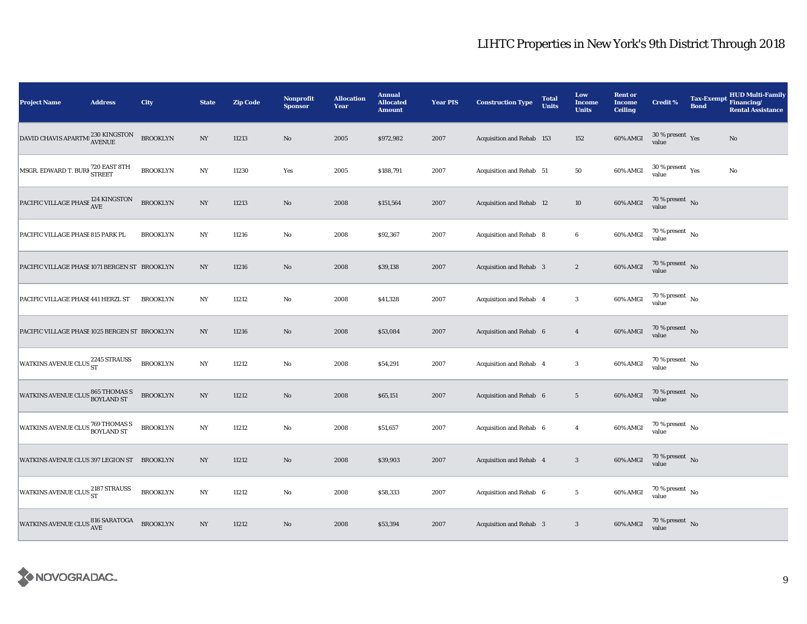| <b>Project Name</b>                                   | <b>Address</b> | City            | <b>State</b>     | <b>Zip Code</b> | Nonprofit<br><b>Sponsor</b> | <b>Allocation</b><br>Year | <b>Annual</b><br><b>Allocated</b><br><b>Amount</b> | <b>Year PIS</b> | <b>Construction Type</b>       | <b>Total</b><br><b>Units</b> | Low<br><b>Income</b><br><b>Units</b> | <b>Rent or</b><br><b>Income</b><br><b>Ceiling</b> | <b>Credit %</b>                        | <b>Bond</b> | <b>HUD Multi-Family</b><br>Tax-Exempt Financing/<br><b>Rental Assistance</b> |
|-------------------------------------------------------|----------------|-----------------|------------------|-----------------|-----------------------------|---------------------------|----------------------------------------------------|-----------------|--------------------------------|------------------------------|--------------------------------------|---------------------------------------------------|----------------------------------------|-------------|------------------------------------------------------------------------------|
| DAVID CHAVIS APARTMI <sup>230</sup> KINGSTON AVENUE   |                | <b>BROOKLYN</b> | $_{\mathrm{NY}}$ | 11213           | $\rm No$                    | 2005                      | \$972,982                                          | 2007            | Acquisition and Rehab 153      |                              | 152                                  | 60% AMGI                                          | $30\,\%$ present $\,$ Yes value        |             | No                                                                           |
| MSGR. EDWARD T. BURF 720 EAST 8TH                     |                | <b>BROOKLYN</b> | $_{\mathrm{NY}}$ | 11230           | Yes                         | 2005                      | \$188,791                                          | 2007            | Acquisition and Rehab 51       |                              | 50                                   | 60% AMGI                                          | $30$ % present $\,$ $\rm Yes$<br>value |             | No                                                                           |
| PACIFIC VILLAGE PHASE 124 KINGSTON                    |                | <b>BROOKLYN</b> | NY               | 11213           | No                          | 2008                      | \$151,564                                          | 2007            | Acquisition and Rehab 12       |                              | 10                                   | 60% AMGI                                          | $70\,\%$ present $\,$ No value         |             |                                                                              |
| PACIFIC VILLAGE PHASE 815 PARK PL                     |                | <b>BROOKLYN</b> | N <sub>Y</sub>   | 11216           | $\rm No$                    | 2008                      | \$92,367                                           | 2007            | Acquisition and Rehab 8        |                              | $\boldsymbol{6}$                     | 60% AMGI                                          | $70\,\%$ present $\,$ No value         |             |                                                                              |
| PACIFIC VILLAGE PHASE 1071 BERGEN ST BROOKLYN         |                |                 | NY               | 11216           | No                          | 2008                      | \$39,138                                           | 2007            | <b>Acquisition and Rehab</b> 3 |                              | $\boldsymbol{2}$                     | 60% AMGI                                          | $70\,\%$ present $${\rm No}$$ value    |             |                                                                              |
| PACIFIC VILLAGE PHASE 441 HERZL ST                    |                | <b>BROOKLYN</b> | NY               | 11212           | No                          | 2008                      | \$41,328                                           | 2007            | Acquisition and Rehab 4        |                              | $\mathbf{3}$                         | 60% AMGI                                          | 70 % present $\hbox{~No}$<br>value     |             |                                                                              |
| PACIFIC VILLAGE PHASE 1025 BERGEN ST BROOKLYN         |                |                 | $_{\mathrm{NY}}$ | 11216           | $\rm No$                    | 2008                      | \$53,084                                           | 2007            | Acquisition and Rehab 6        |                              | $\overline{4}$                       | 60% AMGI                                          | $70\,\%$ present $\,$ No value         |             |                                                                              |
| WATKINS AVENUE CLUS 2245 STRAUSS                      |                | <b>BROOKLYN</b> | NY               | 11212           | No                          | 2008                      | \$54,291                                           | 2007            | Acquisition and Rehab 4        |                              | $\boldsymbol{3}$                     | 60% AMGI                                          | 70 % present $\,$ No $\,$<br>value     |             |                                                                              |
| <b>WATKINS AVENUE CLUS 865 THOMAS S</b><br>BOYLAND ST |                | <b>BROOKLYN</b> | $_{\mathrm{NY}}$ | 11212           | $\rm No$                    | 2008                      | \$65,151                                           | 2007            | Acquisition and Rehab 6        |                              | $5\,$                                | 60% AMGI                                          | $70\,\%$ present $\,$ No value         |             |                                                                              |
| <b>WATKINS AVENUE CLUS 769 THOMAS S</b>               |                | <b>BROOKLYN</b> | $_{\mathrm{NY}}$ | 11212           | $\rm No$                    | 2008                      | \$51,657                                           | 2007            | Acquisition and Rehab 6        |                              | $\overline{4}$                       | 60% AMGI                                          | $70$ % present $\,$ No $\,$<br>value   |             |                                                                              |
| WATKINS AVENUE CLUS 397 LEGION ST BROOKLYN            |                |                 | $_{\mathrm{NY}}$ | 11212           | No                          | 2008                      | \$39,903                                           | 2007            | Acquisition and Rehab 4        |                              | $\mathbf{3}$                         | 60% AMGI                                          | $70\,\%$ present $\,$ No value         |             |                                                                              |
| WATKINS AVENUE CLUS 2187 STRAUSS                      |                | <b>BROOKLYN</b> | $_{\mathrm{NY}}$ | 11212           | $\rm No$                    | 2008                      | \$58,333                                           | 2007            | Acquisition and Rehab 6        |                              | $\overline{5}$                       | 60% AMGI                                          | 70 % present $\hbox{~No}$<br>value     |             |                                                                              |
| WATKINS AVENUE CLUS 816 SARATOGA                      |                | <b>BROOKLYN</b> | $_{\rm NY}$      | 11212           | No                          | 2008                      | \$53,394                                           | 2007            | <b>Acquisition and Rehab 3</b> |                              | $\mathbf{3}$                         | 60% AMGI                                          | $70\,\%$ present $${\rm No}$$ value    |             |                                                                              |

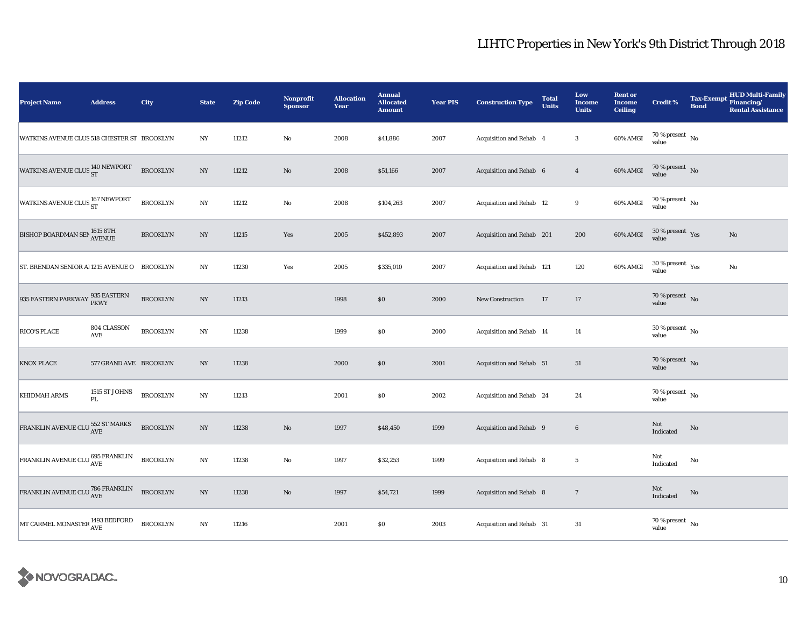| <b>Project Name</b>                                                                           | <b>Address</b>                          | City            | <b>State</b>     | <b>Zip Code</b> | Nonprofit<br><b>Sponsor</b> | <b>Allocation</b><br>Year | <b>Annual</b><br><b>Allocated</b><br><b>Amount</b> | <b>Year PIS</b> | <b>Construction Type</b>  | <b>Total</b><br><b>Units</b> | Low<br><b>Income</b><br><b>Units</b> | <b>Rent or</b><br><b>Income</b><br><b>Ceiling</b> | <b>Credit %</b>                              | <b>Tax-Exempt</b><br><b>Bond</b> | <b>HUD Multi-Family</b><br>Financing/<br><b>Rental Assistance</b> |
|-----------------------------------------------------------------------------------------------|-----------------------------------------|-----------------|------------------|-----------------|-----------------------------|---------------------------|----------------------------------------------------|-----------------|---------------------------|------------------------------|--------------------------------------|---------------------------------------------------|----------------------------------------------|----------------------------------|-------------------------------------------------------------------|
| WATKINS AVENUE CLUS 518 CHESTER ST BROOKLYN                                                   |                                         |                 | $_{\mathrm{NY}}$ | 11212           | $\rm No$                    | 2008                      | \$41,886                                           | 2007            | Acquisition and Rehab 4   |                              | $\boldsymbol{3}$                     | 60% AMGI                                          | 70 % present $\hbox{~No}$<br>value           |                                  |                                                                   |
| WATKINS AVENUE CLUS <sup>140</sup> NEWPORT                                                    |                                         | <b>BROOKLYN</b> | $_{\mathrm{NY}}$ | 11212           | $\rm No$                    | 2008                      | \$51,166                                           | 2007            | Acquisition and Rehab 6   |                              | $\overline{4}$                       | 60% AMGI                                          | $70\,\%$ present $\,$ No value               |                                  |                                                                   |
| WATKINS AVENUE CLUS <sup>167</sup> NEWPORT                                                    |                                         | <b>BROOKLYN</b> | $_{\mathrm{NY}}$ | 11212           | $\rm No$                    | 2008                      | \$104,263                                          | 2007            | Acquisition and Rehab 12  |                              | 9                                    | 60% AMGI                                          | $70\,\%$ present $\,$ No value               |                                  |                                                                   |
| <b>BISHOP BOARDMAN SEN 1615 8TH</b>                                                           |                                         | <b>BROOKLYN</b> | NY               | 11215           | Yes                         | 2005                      | \$452,893                                          | 2007            | Acquisition and Rehab 201 |                              | 200                                  | 60% AMGI                                          | $30\,\%$ present $\,$ Yes value              |                                  | $\mathbf{No}$                                                     |
| ST. BRENDAN SENIOR AL1215 AVENUE O                                                            |                                         | <b>BROOKLYN</b> | NY               | 11230           | Yes                         | 2005                      | \$335,010                                          | 2007            | Acquisition and Rehab 121 |                              | 120                                  | 60% AMGI                                          | $30$ % present $\rm\thinspace\,Yes$<br>value |                                  | No                                                                |
| 935 EASTERN PARKWAY 935 EASTERN                                                               |                                         | <b>BROOKLYN</b> | NY               | 11213           |                             | 1998                      | \$0                                                | 2000            | New Construction          | 17                           | 17                                   |                                                   | 70 % present $\hbox{~No}$<br>value           |                                  |                                                                   |
| <b>RICO'S PLACE</b>                                                                           | 804 CLASSON<br>AVE                      | <b>BROOKLYN</b> | NY               | 11238           |                             | 1999                      | \$0                                                | 2000            | Acquisition and Rehab 14  |                              | 14                                   |                                                   | $30$ % present $\,$ No $\,$<br>value         |                                  |                                                                   |
| <b>KNOX PLACE</b>                                                                             | 577 GRAND AVE BROOKLYN                  |                 | $_{\mathrm{NY}}$ | 11238           |                             | 2000                      | $\$0$                                              | 2001            | Acquisition and Rehab 51  |                              | 51                                   |                                                   | 70 % present $\,$ No $\,$<br>value           |                                  |                                                                   |
| <b>KHIDMAH ARMS</b>                                                                           | 1515 ST JOHNS<br>$\mathbf{P}\mathbf{L}$ | <b>BROOKLYN</b> | $_{\mathrm{NY}}$ | 11213           |                             | 2001                      | \$0                                                | 2002            | Acquisition and Rehab 24  |                              | 24                                   |                                                   | 70 % present $\hbox{~No}$<br>value           |                                  |                                                                   |
| FRANKLIN AVENUE CLU $^{552}_{\hbox{AVE}}$ ST MARKS                                            |                                         | <b>BROOKLYN</b> | NY               | 11238           | $\rm No$                    | 1997                      | \$48,450                                           | 1999            | Acquisition and Rehab 9   |                              | $6\phantom{.}6$                      |                                                   | Not<br>Indicated                             | $\rm No$                         |                                                                   |
| FRANKLIN AVENUE CLU 695 FRANKLIN                                                              |                                         | <b>BROOKLYN</b> | NY               | 11238           | No                          | 1997                      | \$32,253                                           | 1999            | Acquisition and Rehab 8   |                              | $5\phantom{.0}$                      |                                                   | Not<br>Indicated                             | No                               |                                                                   |
| $\fbox{FRANKLIN} \,\, {\rm AVENUE} \,\, {\rm CLU} \, \frac{786}{\rm AVE} \,\, {\rm FRANKLIN}$ |                                         | <b>BROOKLYN</b> | $_{\mathrm{NY}}$ | 11238           | $\rm No$                    | 1997                      | \$54,721                                           | 1999            | Acquisition and Rehab 8   |                              | $\overline{7}$                       |                                                   | Not<br>Indicated                             | $\rm No$                         |                                                                   |
| $\bigg $ MT CARMEL MONASTER $^{1493}_{\rm{AVE}}$ BEDFORD                                      |                                         | <b>BROOKLYN</b> | $_{\mathrm{NY}}$ | 11216           |                             | 2001                      | $\$0$                                              | 2003            | Acquisition and Rehab 31  |                              | 31                                   |                                                   | $70$ % present $\,$ No $\,$<br>value         |                                  |                                                                   |

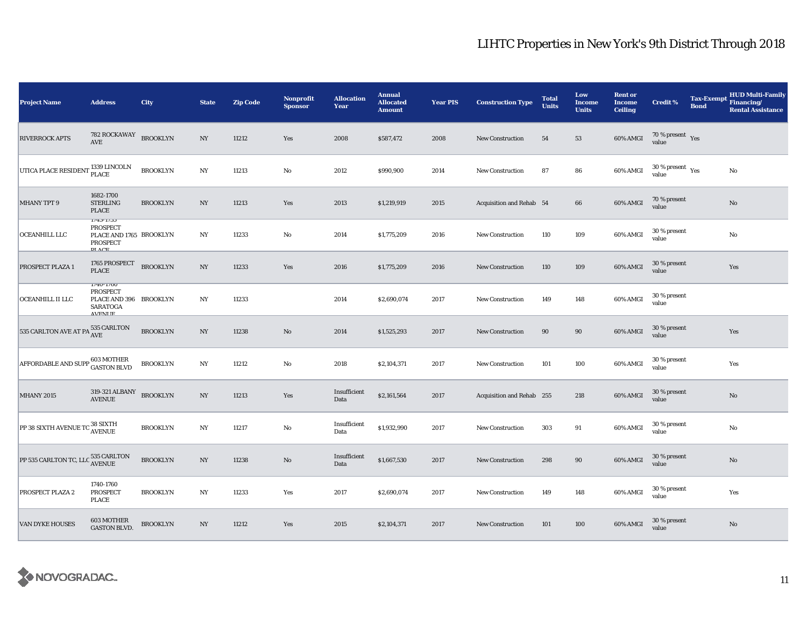| <b>Project Name</b>                                 | <b>Address</b>                                                                          | City            | <b>State</b>     | <b>Zip Code</b> | <b>Nonprofit</b><br><b>Sponsor</b> | <b>Allocation</b><br>Year | <b>Annual</b><br><b>Allocated</b><br><b>Amount</b> | <b>Year PIS</b> | <b>Construction Type</b>  | <b>Total</b><br><b>Units</b> | Low<br><b>Income</b><br><b>Units</b> | <b>Rent or</b><br><b>Income</b><br><b>Ceiling</b> | <b>Credit %</b>                        | <b>Tax-Exempt</b><br><b>Bond</b> | <b>HUD Multi-Family</b><br>Financing/<br><b>Rental Assistance</b> |
|-----------------------------------------------------|-----------------------------------------------------------------------------------------|-----------------|------------------|-----------------|------------------------------------|---------------------------|----------------------------------------------------|-----------------|---------------------------|------------------------------|--------------------------------------|---------------------------------------------------|----------------------------------------|----------------------------------|-------------------------------------------------------------------|
| <b>RIVERROCK APTS</b>                               | 782 ROCKAWAY<br>AVE                                                                     | <b>BROOKLYN</b> | $_{\mathrm{NY}}$ | 11212           | Yes                                | 2008                      | \$587,472                                          | 2008            | <b>New Construction</b>   | 54                           | 53                                   | 60% AMGI                                          | $70$ % present $\,$ $\rm Yes$<br>value |                                  |                                                                   |
| UTICA PLACE RESIDENT                                | , 1339 LINCOLN<br>PLACE                                                                 | <b>BROOKLYN</b> | NY               | 11213           | No                                 | 2012                      | \$990,900                                          | 2014            | <b>New Construction</b>   | 87                           | 86                                   | 60% AMGI                                          | $30$ % present $\,$ $\rm Yes$<br>value |                                  | No                                                                |
| <b>MHANY TPT 9</b>                                  | 1682-1700<br><b>STERLING</b><br><b>PLACE</b>                                            | <b>BROOKLYN</b> | NY               | 11213           | Yes                                | 2013                      | \$1,219,919                                        | 2015            | Acquisition and Rehab 54  |                              | 66                                   | 60% AMGI                                          | 70 % present<br>value                  |                                  | $\mathbf{No}$                                                     |
| OCEANHILL LLC                                       | $1/43 - 1/33$<br><b>PROSPECT</b><br>PLACE AND 1765 BROOKLYN<br>PROSPECT<br>DI ACE       |                 | NY               | 11233           | $\rm No$                           | 2014                      | \$1,775,209                                        | 2016            | <b>New Construction</b>   | 110                          | 109                                  | 60% AMGI                                          | 30 % present<br>value                  |                                  | No                                                                |
| PROSPECT PLAZA 1                                    | 1765 PROSPECT<br><b>PLACE</b>                                                           | <b>BROOKLYN</b> | NY               | 11233           | Yes                                | 2016                      | \$1,775,209                                        | 2016            | New Construction          | 110                          | 109                                  | 60% AMGI                                          | 30 % present<br>value                  |                                  | Yes                                                               |
| OCEANHILL II LLC                                    | $1/40 - 1/80$<br>PROSPECT<br>PLACE AND 396 BROOKLYN<br><b>SARATOGA</b><br><b>AVENHE</b> |                 | NY               | 11233           |                                    | 2014                      | \$2,690,074                                        | 2017            | <b>New Construction</b>   | 149                          | 148                                  | 60% AMGI                                          | 30 % present<br>value                  |                                  |                                                                   |
| 535 CARLTON AVE AT PA $_{\rm AVE}^{535\rm~CARLTON}$ |                                                                                         | <b>BROOKLYN</b> | $_{\mathrm{NY}}$ | 11238           | $\rm No$                           | 2014                      | \$1,525,293                                        | 2017            | <b>New Construction</b>   | 90                           | $90\,$                               | 60% AMGI                                          | 30 % present<br>value                  |                                  | Yes                                                               |
| AFFORDABLE AND SUPP 603 MOTHER                      |                                                                                         | <b>BROOKLYN</b> | $_{\mathrm{NY}}$ | 11212           | $\rm No$                           | 2018                      | \$2,104,371                                        | 2017            | New Construction          | 101                          | 100                                  | 60% AMGI                                          | 30 % present<br>value                  |                                  | Yes                                                               |
| <b>MHANY 2015</b>                                   | 319-321 ALBANY<br>AVENUE                                                                | <b>BROOKLYN</b> | NY               | 11213           | Yes                                | Insufficient<br>Data      | \$2,161,564                                        | 2017            | Acquisition and Rehab 255 |                              | 218                                  | 60% AMGI                                          | 30 % present<br>value                  |                                  | $\mathbf{No}$                                                     |
| PP 38 SIXTH AVENUE TC 38 SIXTH                      |                                                                                         | <b>BROOKLYN</b> | NY               | 11217           | No                                 | Insufficient<br>Data      | \$1,932,990                                        | 2017            | <b>New Construction</b>   | 303                          | 91                                   | 60% AMGI                                          | 30 % present<br>value                  |                                  | No                                                                |
| PP 535 CARLTON TC, LLC 535 CARLTON                  |                                                                                         | <b>BROOKLYN</b> | NY               | 11238           | No                                 | Insufficient<br>Data      | \$1,667,530                                        | 2017            | <b>New Construction</b>   | 298                          | 90                                   | 60% AMGI                                          | 30 % present<br>value                  |                                  | No                                                                |
| PROSPECT PLAZA 2                                    | 1740-1760<br>PROSPECT<br>PLACE                                                          | <b>BROOKLYN</b> | NY               | 11233           | Yes                                | 2017                      | \$2,690,074                                        | 2017            | <b>New Construction</b>   | 149                          | 148                                  | 60% AMGI                                          | 30 % present<br>value                  |                                  | Yes                                                               |
| <b>VAN DYKE HOUSES</b>                              | 603 MOTHER<br><b>GASTON BLVD.</b>                                                       | <b>BROOKLYN</b> | NY               | 11212           | Yes                                | 2015                      | \$2,104,371                                        | 2017            | New Construction          | 101                          | 100                                  | 60% AMGI                                          | 30 % present<br>value                  |                                  | $\mathbf{No}$                                                     |

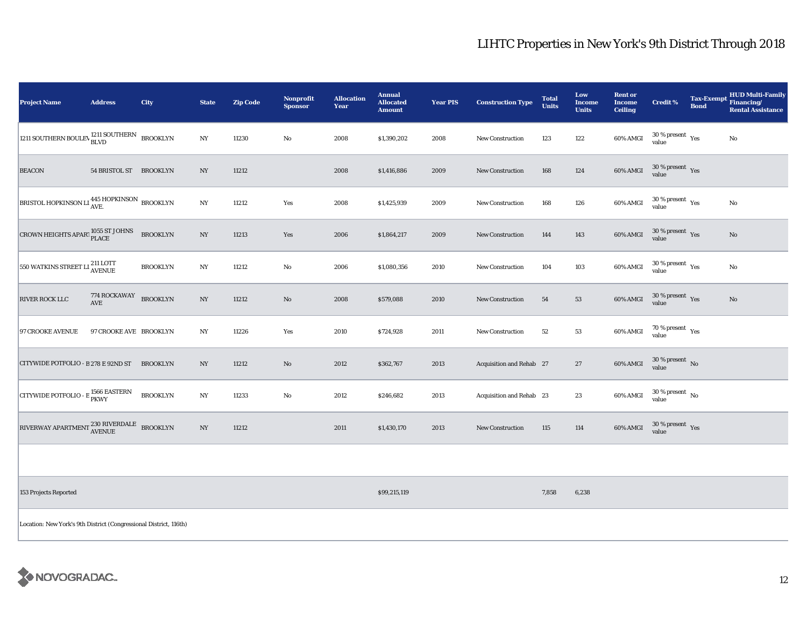| <b>Project Name</b>                                                       | <b>Address</b>         | City            | <b>State</b>     | <b>Zip Code</b> | Nonprofit<br><b>Sponsor</b> | <b>Allocation</b><br>Year | <b>Annual</b><br><b>Allocated</b><br><b>Amount</b> | <b>Year PIS</b> | <b>Construction Type</b> | <b>Total</b><br><b>Units</b> | Low<br><b>Income</b><br><b>Units</b> | <b>Rent or</b><br>Income<br><b>Ceiling</b> | <b>Credit %</b>                 | <b>Tax-Exempt</b><br><b>Bond</b> | <b>HUD Multi-Family</b><br>Financing/<br><b>Rental Assistance</b> |
|---------------------------------------------------------------------------|------------------------|-----------------|------------------|-----------------|-----------------------------|---------------------------|----------------------------------------------------|-----------------|--------------------------|------------------------------|--------------------------------------|--------------------------------------------|---------------------------------|----------------------------------|-------------------------------------------------------------------|
| 1211 SOUTHERN BOULEV 1211 SOUTHERN                                        |                        | <b>BROOKLYN</b> | NY               | 11230           | No                          | 2008                      | \$1,390,202                                        | 2008            | <b>New Construction</b>  | 123                          | 122                                  | 60% AMGI                                   | $30\,\%$ present $\,$ Yes value |                                  | No                                                                |
| <b>BEACON</b>                                                             | 54 BRISTOL ST BROOKLYN |                 | $_{\mathrm{NY}}$ | 11212           |                             | 2008                      | \$1,416,886                                        | 2009            | New Construction         | 168                          | 124                                  | 60% AMGI                                   | $30\,\%$ present $\,$ Yes value |                                  |                                                                   |
| BRISTOL HOPKINSON LI 445 HOPKINSON BROOKLYN                               |                        |                 | NY               | 11212           | Yes                         | 2008                      | \$1,425,939                                        | 2009            | <b>New Construction</b>  | 168                          | 126                                  | 60% AMGI                                   | $30\,\%$ present $\,$ Yes value |                                  | No                                                                |
| CROWN HEIGHTS APART $_{\rm PLACE}^{1055}$ ST JOHNS                        |                        | <b>BROOKLYN</b> | NY               | 11213           | Yes                         | 2006                      | \$1,864,217                                        | 2009            | <b>New Construction</b>  | 144                          | 143                                  | 60% AMGI                                   | $30\,\%$ present $\,$ Yes value |                                  | No                                                                |
| 550 WATKINS STREET LI <sup>211</sup> LOTT                                 |                        | <b>BROOKLYN</b> | $_{\mathrm{NY}}$ | 11212           | No                          | 2006                      | \$1,080,356                                        | 2010            | <b>New Construction</b>  | 104                          | 103                                  | 60% AMGI                                   | $30\,\%$ present $\,$ Yes value |                                  | No                                                                |
| <b>RIVER ROCK LLC</b>                                                     | 774 ROCKAWAY<br>AVE    | <b>BROOKLYN</b> | $_{\mathrm{NY}}$ | 11212           | $\mathbf{N}\mathbf{o}$      | 2008                      | \$579,088                                          | 2010            | <b>New Construction</b>  | 54                           | 53                                   | 60% AMGI                                   | $30\,\%$ present $\,$ Yes value |                                  | $\mathbf{N}\mathbf{o}$                                            |
| <b>97 CROOKE AVENUE</b>                                                   | 97 CROOKE AVE BROOKLYN |                 | NY               | 11226           | Yes                         | 2010                      | \$724,928                                          | 2011            | <b>New Construction</b>  | 52                           | 53                                   | 60% AMGI                                   | $70\,\%$ present $\,$ Yes value |                                  |                                                                   |
| CITYWIDE POTFOLIO - B 278 E 92ND ST                                       |                        | <b>BROOKLYN</b> | NY               | 11212           | $\mathbf{N}\mathbf{o}$      | 2012                      | \$362,767                                          | 2013            | Acquisition and Rehab 27 |                              | 27                                   | 60% AMGI                                   | $30\,\%$ present $\,$ No value  |                                  |                                                                   |
| CITYWIDE POTFOLIO - E <sup>1566</sup> EASTERN                             |                        | <b>BROOKLYN</b> | $_{\mathrm{NY}}$ | 11233           | $\mathbf{No}$               | 2012                      | \$246,682                                          | 2013            | Acquisition and Rehab 23 |                              | 23                                   | 60% AMGI                                   | $30\,\%$ present $\,$ No value  |                                  |                                                                   |
| RIVERWAY APARTMENT $\frac{230 \text{ RIVERDALE}}{\text{AVENUE}}$ BROOKLYN |                        |                 | NY               | 11212           |                             | 2011                      | \$1,430,170                                        | 2013            | New Construction         | 115                          | 114                                  | 60% AMGI                                   | $30\,\%$ present $\,$ Yes value |                                  |                                                                   |
|                                                                           |                        |                 |                  |                 |                             |                           |                                                    |                 |                          |                              |                                      |                                            |                                 |                                  |                                                                   |

153 Projects Reported \$99,215,119 7,858 6,238

Location: New York's 9th District (Congressional District, 116th)